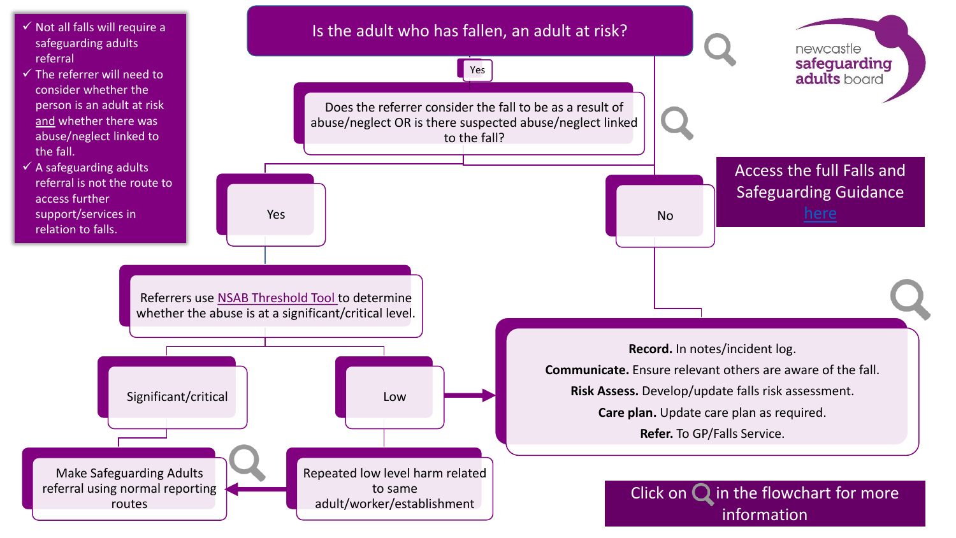<span id="page-0-0"></span>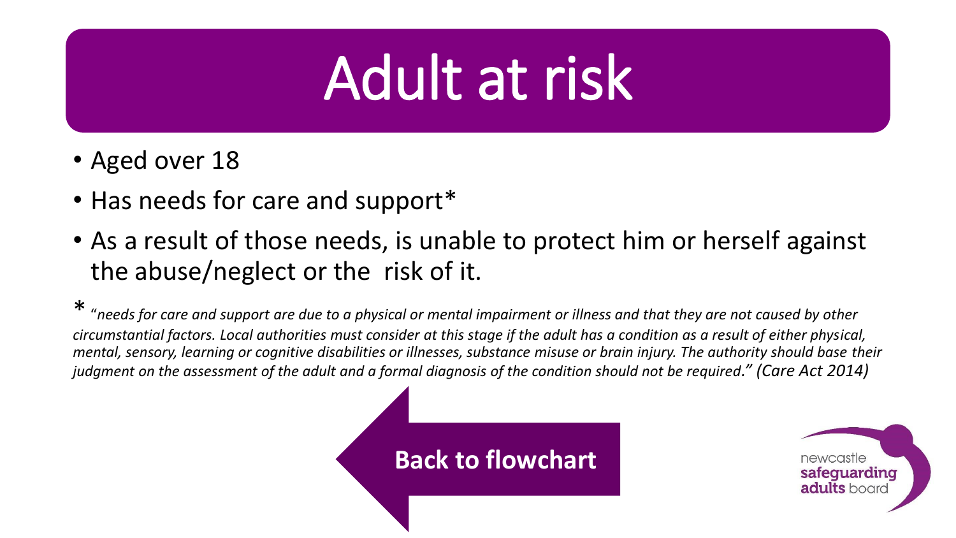# Adult at risk

- Aged over 18
- Has needs for care and support\*
- As a result of those needs, is unable to protect him or herself against the abuse/neglect or the risk of it.

\* "*needs for care and support are due to a physical or mental impairment or illness and that they are not caused by other circumstantial factors. Local authorities must consider at this stage if the adult has a condition as a result of either physical, mental, sensory, learning or cognitive disabilities or illnesses, substance misuse or brain injury. The authority should base their judgment on the assessment of the adult and a formal diagnosis of the condition should not be required." (Care Act 2014)* 

### **[Back to flowchart](#page-0-0)**

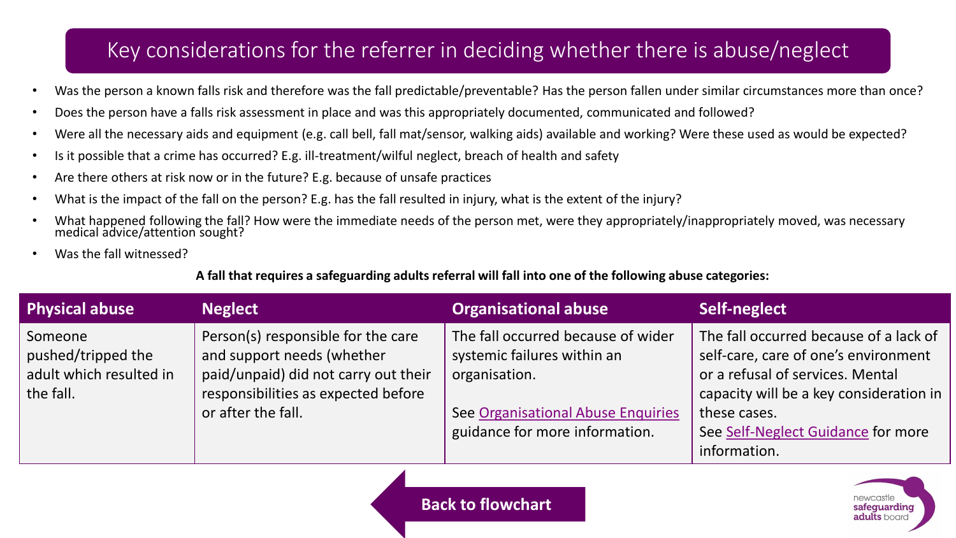### Key considerations for the referrer in deciding whether there is abuse/neglect

- Was the person a known falls risk and therefore was the fall predictable/preventable? Has the person fallen under similar circumstances more than once?
- Does the person have a falls risk assessment in place and was this appropriately documented, communicated and followed?
- Were all the necessary aids and equipment (e.g. call bell, fall mat/sensor, walking aids) available and working? Were these used as would be expected?
- Is it possible that a crime has occurred? E.g. ill-treatment/wilful neglect, breach of health and safety
- Are there others at risk now or in the future? E.g. because of unsafe practices
- What is the impact of the fall on the person? E.g. has the fall resulted in injury, what is the extent of the injury?
- What happened following the fall? How were the immediate needs of the person met, were they appropriately/inappropriately moved, was necessary medical advice/attention sought?
- Was the fall witnessed?

#### **A fall that requires a safeguarding adults referral will fall into one of the following abuse categories:**

| <b>Physical abuse</b>                                                 | <b>Neglect</b>                                                                                                                                                        | <b>Organisational abuse</b>                                                                                                                                | Self-neglect                                                                                                                                                                                                                        |
|-----------------------------------------------------------------------|-----------------------------------------------------------------------------------------------------------------------------------------------------------------------|------------------------------------------------------------------------------------------------------------------------------------------------------------|-------------------------------------------------------------------------------------------------------------------------------------------------------------------------------------------------------------------------------------|
| Someone<br>pushed/tripped the<br>adult which resulted in<br>the fall. | Person(s) responsible for the care<br>and support needs (whether<br>paid/unpaid) did not carry out their<br>responsibilities as expected before<br>or after the fall. | The fall occurred because of wider<br>systemic failures within an<br>organisation.<br>See Organisational Abuse Enquiries<br>guidance for more information. | The fall occurred because of a lack of<br>self-care, care of one's environment<br>or a refusal of services. Mental<br>capacity will be a key consideration in<br>these cases.<br>See Self-Neglect Guidance for more<br>information. |

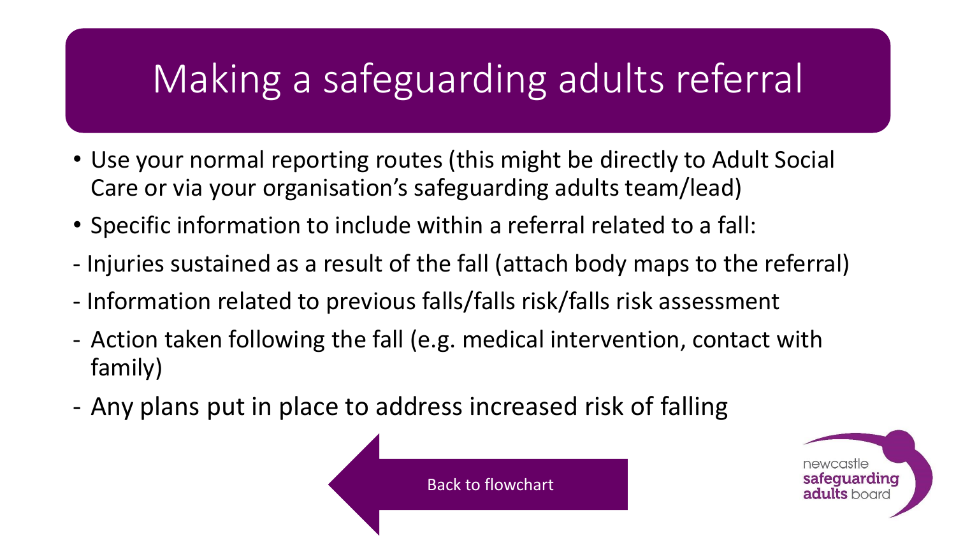# Making a safeguarding adults referral

- Use your normal reporting routes (this might be directly to Adult Social Care or via your organisation's safeguarding adults team/lead)
- Specific information to include within a referral related to a fall:
- Injuries sustained as a result of the fall (attach body maps to the referral)
- Information related to previous falls/falls risk/falls risk assessment
- Action taken following the fall (e.g. medical intervention, contact with family)
- Any plans put in place to address increased risk of falling



[Back to flowchart](#page-0-0)